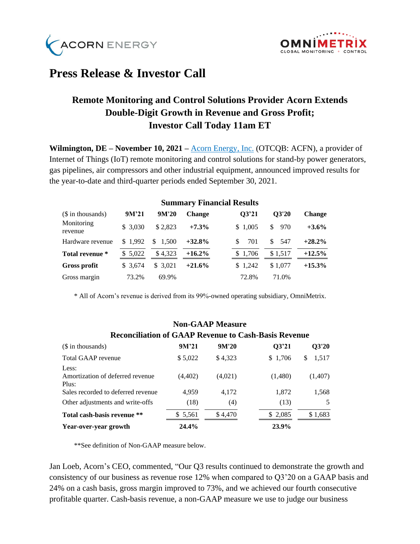



## **Press Release & Investor Call**

## **Remote Monitoring and Control Solutions Provider Acorn Extends Double-Digit Growth in Revenue and Gross Profit; Investor Call Today 11am ET**

**Wilmington, DE – November 10, 2021 –** [Acorn Energy, Inc.](http://acornenergy.com/) (OTCQB: ACFN), a provider of Internet of Things (IoT) remote monitoring and control solutions for stand-by power generators, gas pipelines, air compressors and other industrial equipment, announced improved results for the year-to-date and third-quarter periods ended September 30, 2021.

|                       | Sunniai y financiai Results |         |               |           |             |               |  |  |  |
|-----------------------|-----------------------------|---------|---------------|-----------|-------------|---------------|--|--|--|
| (\$ in thousands)     | $9M^221$                    | 9M'20   | <b>Change</b> | 03'21     | O3'20       | <b>Change</b> |  |  |  |
| Monitoring<br>revenue | \$3.030                     | \$2.823 | $+7.3%$       | \$1.005   | \$<br>- 970 | $+3.6\%$      |  |  |  |
| Hardware revenue      | \$1.992                     | \$1,500 | $+32.8%$      | 701<br>S. | -547<br>S.  | $+28.2\%$     |  |  |  |
| Total revenue *       | \$5,022                     | \$4.323 | $+16.2\%$     | \$1,706   | \$1,517     | $+12.5%$      |  |  |  |
| <b>Gross profit</b>   | \$ 3.674                    | \$3.021 | $+21.6%$      | \$1,242   | \$1.077     | $+15.3\%$     |  |  |  |
| Gross margin          | 73.2%                       | 69.9%   |               | 72.8%     | 71.0%       |               |  |  |  |

**Summary Financial Results**

\* All of Acorn's revenue is derived from its 99%-owned operating subsidiary, OmniMetrix.

#### **Non-GAAP Measure**

|                                                    | www.manulu ul waal weeldu u cash-dasis weeldu |         |         |             |  |  |  |  |  |
|----------------------------------------------------|-----------------------------------------------|---------|---------|-------------|--|--|--|--|--|
| (\$ in thousands)                                  | $9M^221$                                      | 9M'20   | Q3'21   | Q3'20       |  |  |  |  |  |
| Total GAAP revenue                                 | \$5,022                                       | \$4,323 | \$1,706 | 1,517<br>\$ |  |  |  |  |  |
| Less:<br>Amortization of deferred revenue<br>Plus: | (4, 402)                                      | (4,021) | (1,480) | (1,407)     |  |  |  |  |  |
| Sales recorded to deferred revenue                 | 4.959                                         | 4.172   | 1,872   | 1,568       |  |  |  |  |  |
| Other adjustments and write-offs                   | (18)                                          | (4)     | (13)    | 5           |  |  |  |  |  |
| Total cash-basis revenue **                        | \$ 5,561                                      | \$4,470 | \$2,085 | \$1,683     |  |  |  |  |  |
| Year-over-year growth                              | 24.4%                                         |         | 23.9%   |             |  |  |  |  |  |

# **Reconciliation of GAAP Revenue to Cash-Basis Revenue**

\*\*See definition of Non-GAAP measure below.

Jan Loeb, Acorn's CEO, commented, "Our Q3 results continued to demonstrate the growth and consistency of our business as revenue rose 12% when compared to Q3'20 on a GAAP basis and 24% on a cash basis, gross margin improved to 73%, and we achieved our fourth consecutive profitable quarter. Cash-basis revenue, a non-GAAP measure we use to judge our business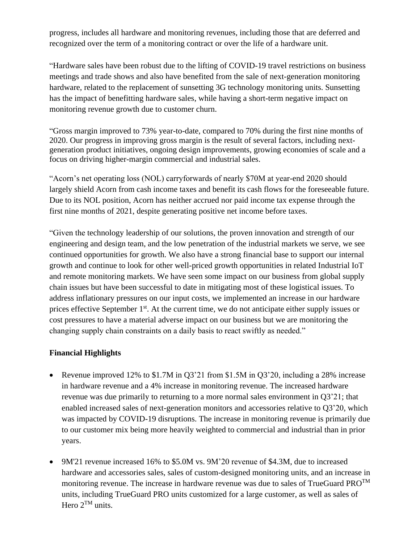progress, includes all hardware and monitoring revenues, including those that are deferred and recognized over the term of a monitoring contract or over the life of a hardware unit.

"Hardware sales have been robust due to the lifting of COVID-19 travel restrictions on business meetings and trade shows and also have benefited from the sale of next-generation monitoring hardware, related to the replacement of sunsetting 3G technology monitoring units. Sunsetting has the impact of benefitting hardware sales, while having a short-term negative impact on monitoring revenue growth due to customer churn.

"Gross margin improved to 73% year-to-date, compared to 70% during the first nine months of 2020. Our progress in improving gross margin is the result of several factors, including nextgeneration product initiatives, ongoing design improvements, growing economies of scale and a focus on driving higher-margin commercial and industrial sales.

"Acorn's net operating loss (NOL) carryforwards of nearly \$70M at year-end 2020 should largely shield Acorn from cash income taxes and benefit its cash flows for the foreseeable future. Due to its NOL position, Acorn has neither accrued nor paid income tax expense through the first nine months of 2021, despite generating positive net income before taxes.

"Given the technology leadership of our solutions, the proven innovation and strength of our engineering and design team, and the low penetration of the industrial markets we serve, we see continued opportunities for growth. We also have a strong financial base to support our internal growth and continue to look for other well-priced growth opportunities in related Industrial IoT and remote monitoring markets. We have seen some impact on our business from global supply chain issues but have been successful to date in mitigating most of these logistical issues. To address inflationary pressures on our input costs, we implemented an increase in our hardware prices effective September 1<sup>st</sup>. At the current time, we do not anticipate either supply issues or cost pressures to have a material adverse impact on our business but we are monitoring the changing supply chain constraints on a daily basis to react swiftly as needed."

### **Financial Highlights**

- Revenue improved 12% to \$1.7M in Q3'21 from \$1.5M in Q3'20, including a 28% increase in hardware revenue and a 4% increase in monitoring revenue. The increased hardware revenue was due primarily to returning to a more normal sales environment in Q3'21; that enabled increased sales of next-generation monitors and accessories relative to Q3'20, which was impacted by COVID-19 disruptions. The increase in monitoring revenue is primarily due to our customer mix being more heavily weighted to commercial and industrial than in prior years.
- 9M'21 revenue increased 16% to \$5.0M vs. 9M'20 revenue of \$4.3M, due to increased hardware and accessories sales, sales of custom-designed monitoring units, and an increase in monitoring revenue. The increase in hardware revenue was due to sales of TrueGuard  $PRO^{TM}$ units, including TrueGuard PRO units customized for a large customer, as well as sales of Hero  $2^{TM}$  units.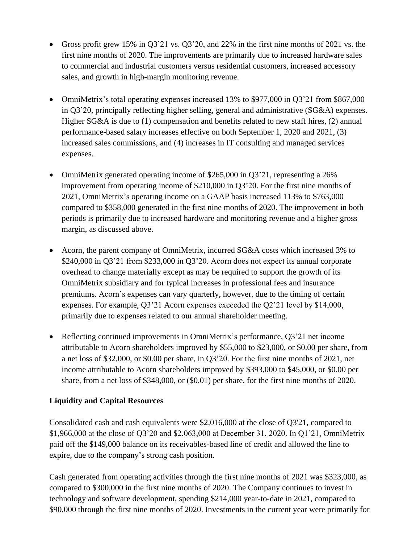- Gross profit grew 15% in Q3'21 vs. Q3'20, and 22% in the first nine months of 2021 vs. the first nine months of 2020. The improvements are primarily due to increased hardware sales to commercial and industrial customers versus residential customers, increased accessory sales, and growth in high-margin monitoring revenue.
- OmniMetrix's total operating expenses increased 13% to \$977,000 in O3'21 from \$867,000 in Q3'20, principally reflecting higher selling, general and administrative (SG&A) expenses. Higher SG&A is due to (1) compensation and benefits related to new staff hires, (2) annual performance-based salary increases effective on both September 1, 2020 and 2021, (3) increased sales commissions, and (4) increases in IT consulting and managed services expenses.
- OmniMetrix generated operating income of \$265,000 in Q3'21, representing a 26% improvement from operating income of \$210,000 in Q3'20. For the first nine months of 2021, OmniMetrix's operating income on a GAAP basis increased 113% to \$763,000 compared to \$358,000 generated in the first nine months of 2020. The improvement in both periods is primarily due to increased hardware and monitoring revenue and a higher gross margin, as discussed above.
- Acorn, the parent company of OmniMetrix, incurred SG&A costs which increased 3% to \$240,000 in Q3'21 from \$233,000 in Q3'20. Acorn does not expect its annual corporate overhead to change materially except as may be required to support the growth of its OmniMetrix subsidiary and for typical increases in professional fees and insurance premiums. Acorn's expenses can vary quarterly, however, due to the timing of certain expenses. For example, Q3'21 Acorn expenses exceeded the Q2'21 level by \$14,000, primarily due to expenses related to our annual shareholder meeting.
- Reflecting continued improvements in OmniMetrix's performance, Q3'21 net income attributable to Acorn shareholders improved by \$55,000 to \$23,000, or \$0.00 per share, from a net loss of \$32,000, or \$0.00 per share, in Q3'20. For the first nine months of 2021, net income attributable to Acorn shareholders improved by \$393,000 to \$45,000, or \$0.00 per share, from a net loss of \$348,000, or (\$0.01) per share, for the first nine months of 2020.

### **Liquidity and Capital Resources**

Consolidated cash and cash equivalents were \$2,016,000 at the close of Q3'21, compared to \$1,966,000 at the close of Q3'20 and \$2,063,000 at December 31, 2020. In Q1'21, OmniMetrix paid off the \$149,000 balance on its receivables-based line of credit and allowed the line to expire, due to the company's strong cash position.

Cash generated from operating activities through the first nine months of 2021 was \$323,000, as compared to \$300,000 in the first nine months of 2020. The Company continues to invest in technology and software development, spending \$214,000 year-to-date in 2021, compared to \$90,000 through the first nine months of 2020. Investments in the current year were primarily for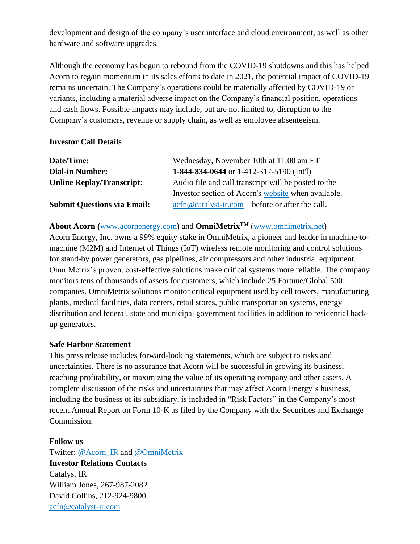development and design of the company's user interface and cloud environment, as well as other hardware and software upgrades.

Although the economy has begun to rebound from the COVID-19 shutdowns and this has helped Acorn to regain momentum in its sales efforts to date in 2021, the potential impact of COVID-19 remains uncertain. The Company's operations could be materially affected by COVID-19 or variants, including a material adverse impact on the Company's financial position, operations and cash flows. Possible impacts may include, but are not limited to, disruption to the Company's customers, revenue or supply chain, as well as employee absenteeism.

### **Investor Call Details**

| Date/Time:                         | Wednesday, November 10th at 11:00 am ET                                                                                                            |
|------------------------------------|----------------------------------------------------------------------------------------------------------------------------------------------------|
| <b>Dial-in Number:</b>             | 1-844-834-0644 or 1-412-317-5190 (Int'l)                                                                                                           |
| <b>Online Replay/Transcript:</b>   | Audio file and call transcript will be posted to the                                                                                               |
|                                    | Investor section of Acorn's website when available.                                                                                                |
| <b>Submit Questions via Email:</b> | $\operatorname{acfn}\nolimits @ \operatorname{catalyst-ir}.\nolimits com - \operatorname{before} or \operatorname{after} the \operatorname{call}.$ |

### **About Acorn (**[www.acornenergy.com](http://www.acornenergy.com/)**)** and **OmniMetrixTM** [\(www.omnimetrix.net\)](http://www.omnimetrix.net/)

Acorn Energy, Inc. owns a 99% equity stake in OmniMetrix, a pioneer and leader in machine-tomachine (M2M) and Internet of Things (IoT) wireless remote monitoring and control solutions for stand-by power generators, gas pipelines, air compressors and other industrial equipment. OmniMetrix's proven, cost-effective solutions make critical systems more reliable. The company monitors tens of thousands of assets for customers, which include 25 Fortune/Global 500 companies. OmniMetrix solutions monitor critical equipment used by cell towers, manufacturing plants, medical facilities, data centers, retail stores, public transportation systems, energy distribution and federal, state and municipal government facilities in addition to residential backup generators.

### **Safe Harbor Statement**

This press release includes forward-looking statements, which are subject to risks and uncertainties. There is no assurance that Acorn will be successful in growing its business, reaching profitability, or maximizing the value of its operating company and other assets. A complete discussion of the risks and uncertainties that may affect Acorn Energy's business, including the business of its subsidiary, is included in "Risk Factors" in the Company's most recent Annual Report on Form 10-K as filed by the Company with the Securities and Exchange Commission.

### **Follow us**

Twitter: [@Acorn\\_IR](https://twitter.com/ACORN_IR) and [@OmniMetrix](https://twitter.com/OmniMetrix) **Investor Relations Contacts** Catalyst IR William Jones, 267-987-2082 David Collins, 212-924-9800 [acfn@catalyst-ir.com](mailto:acfn@catalyst-ir.com)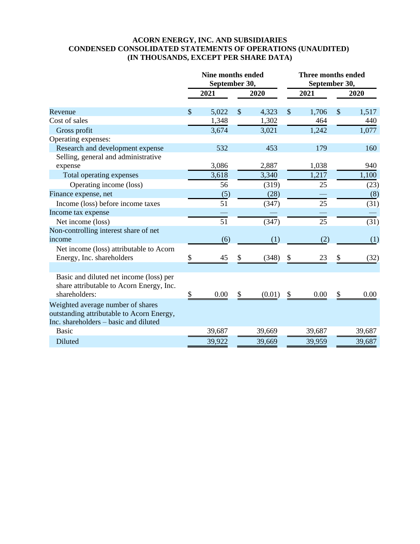### **ACORN ENERGY, INC. AND SUBSIDIARIES CONDENSED CONSOLIDATED STATEMENTS OF OPERATIONS (UNAUDITED) (IN THOUSANDS, EXCEPT PER SHARE DATA)**

|                                           | <b>Nine months ended</b><br>September 30, |        |               | <b>Three months ended</b><br>September 30, |                           |        |               |        |
|-------------------------------------------|-------------------------------------------|--------|---------------|--------------------------------------------|---------------------------|--------|---------------|--------|
|                                           |                                           | 2021   |               | 2020                                       |                           | 2021   |               | 2020   |
| Revenue                                   | $\mathcal{S}$                             | 5,022  | $\mathcal{S}$ | 4,323                                      | $\boldsymbol{\mathsf{S}}$ | 1,706  | $\mathcal{S}$ | 1,517  |
| Cost of sales                             |                                           | 1,348  |               | 1,302                                      |                           | 464    |               | 440    |
| Gross profit                              |                                           | 3,674  |               | 3,021                                      |                           | 1,242  |               | 1,077  |
| Operating expenses:                       |                                           |        |               |                                            |                           |        |               |        |
| Research and development expense          |                                           | 532    |               | 453                                        |                           | 179    |               | 160    |
| Selling, general and administrative       |                                           |        |               |                                            |                           |        |               |        |
| expense                                   |                                           | 3,086  |               | 2,887                                      |                           | 1,038  |               | 940    |
| Total operating expenses                  |                                           | 3,618  |               | 3,340                                      |                           | 1,217  |               | 1,100  |
| Operating income (loss)                   |                                           | 56     |               | (319)                                      |                           | 25     |               | (23)   |
| Finance expense, net                      |                                           | (5)    |               | (28)                                       |                           |        |               | (8)    |
| Income (loss) before income taxes         |                                           | 51     |               | (347)                                      |                           | 25     |               | (31)   |
| Income tax expense                        |                                           |        |               |                                            |                           |        |               |        |
| Net income (loss)                         |                                           | 51     |               | (347)                                      |                           | 25     |               | (31)   |
| Non-controlling interest share of net     |                                           |        |               |                                            |                           |        |               |        |
| income                                    |                                           | (6)    |               | (1)                                        |                           | (2)    |               | (1)    |
| Net income (loss) attributable to Acorn   |                                           |        |               |                                            |                           |        |               |        |
| Energy, Inc. shareholders                 | \$                                        | 45     | \$            | (348)                                      | \$                        | 23     | \$            | (32)   |
|                                           |                                           |        |               |                                            |                           |        |               |        |
| Basic and diluted net income (loss) per   |                                           |        |               |                                            |                           |        |               |        |
| share attributable to Acorn Energy, Inc.  |                                           |        |               |                                            |                           |        |               |        |
| shareholders:                             | \$                                        | 0.00   | \$            | (0.01)                                     | \$                        | 0.00   | \$            | 0.00   |
| Weighted average number of shares         |                                           |        |               |                                            |                           |        |               |        |
| outstanding attributable to Acorn Energy, |                                           |        |               |                                            |                           |        |               |        |
| Inc. shareholders – basic and diluted     |                                           |        |               |                                            |                           |        |               |        |
| <b>Basic</b>                              |                                           | 39,687 |               | 39,669                                     |                           | 39,687 |               | 39,687 |
| Diluted                                   |                                           | 39,922 |               | 39,669                                     |                           | 39,959 |               | 39,687 |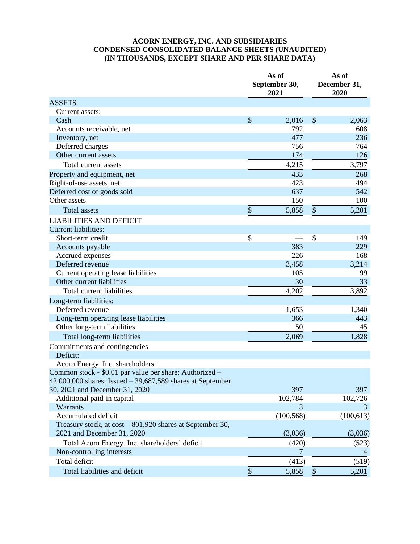### **ACORN ENERGY, INC. AND SUBSIDIARIES CONDENSED CONSOLIDATED BALANCE SHEETS (UNAUDITED) (IN THOUSANDS, EXCEPT SHARE AND PER SHARE DATA)**

|                                                               |                           | As of<br>September 30,<br>2021 | As of<br>December 31,<br>2020 |            |  |
|---------------------------------------------------------------|---------------------------|--------------------------------|-------------------------------|------------|--|
| <b>ASSETS</b>                                                 |                           |                                |                               |            |  |
| Current assets:                                               |                           |                                |                               |            |  |
| Cash                                                          | $\boldsymbol{\mathsf{S}}$ | 2,016                          | \$                            | 2,063      |  |
| Accounts receivable, net                                      |                           | 792                            |                               | 608        |  |
| Inventory, net                                                |                           | 477                            |                               | 236        |  |
| Deferred charges                                              |                           | 756                            |                               | 764        |  |
| Other current assets                                          |                           | 174                            |                               | 126        |  |
| Total current assets                                          |                           | 4,215                          |                               | 3,797      |  |
| Property and equipment, net                                   |                           | 433                            |                               | 268        |  |
| Right-of-use assets, net                                      |                           | 423                            |                               | 494        |  |
| Deferred cost of goods sold                                   |                           | 637                            |                               | 542        |  |
| Other assets                                                  |                           | 150                            |                               | 100        |  |
| <b>Total assets</b>                                           | \$                        | 5,858                          | \$                            | 5,201      |  |
| <b>LIABILITIES AND DEFICIT</b>                                |                           |                                |                               |            |  |
| <b>Current liabilities:</b>                                   |                           |                                |                               |            |  |
| Short-term credit                                             | \$                        |                                | \$                            | 149        |  |
| Accounts payable                                              |                           | 383                            |                               | 229        |  |
| Accrued expenses                                              |                           | 226                            |                               | 168        |  |
| Deferred revenue                                              |                           | 3,458                          |                               | 3,214      |  |
| Current operating lease liabilities                           |                           | 105                            |                               | 99         |  |
| Other current liabilities                                     |                           | 30                             |                               | 33         |  |
| Total current liabilities                                     |                           | 4,202                          |                               | 3,892      |  |
| Long-term liabilities:                                        |                           |                                |                               |            |  |
| Deferred revenue                                              |                           | 1,653                          |                               | 1,340      |  |
| Long-term operating lease liabilities                         |                           | 366                            |                               | 443        |  |
| Other long-term liabilities                                   |                           | 50                             |                               | 45         |  |
| Total long-term liabilities                                   |                           | 2,069                          |                               | 1,828      |  |
| Commitments and contingencies                                 |                           |                                |                               |            |  |
| Deficit:                                                      |                           |                                |                               |            |  |
| Acorn Energy, Inc. shareholders                               |                           |                                |                               |            |  |
| Common stock - \$0.01 par value per share: Authorized –       |                           |                                |                               |            |  |
| $42,000,000$ shares; Issued $-39,687,589$ shares at September |                           |                                |                               |            |  |
| 30, 2021 and December 31, 2020                                |                           | 397                            |                               | 397        |  |
| Additional paid-in capital                                    |                           | 102,784                        |                               | 102,726    |  |
| Warrants                                                      |                           | 3                              |                               | 3          |  |
| Accumulated deficit                                           |                           | (100, 568)                     |                               | (100, 613) |  |
| Treasury stock, at cost - 801,920 shares at September 30,     |                           |                                |                               |            |  |
| 2021 and December 31, 2020                                    |                           | (3,036)                        |                               | (3,036)    |  |
| Total Acorn Energy, Inc. shareholders' deficit                |                           | (420)                          |                               | (523)      |  |
| Non-controlling interests                                     |                           | 7                              |                               | 4          |  |
| Total deficit                                                 |                           | (413)                          |                               | (519)      |  |
| Total liabilities and deficit                                 | \$                        | 5,858                          | $\$\,$                        | 5,201      |  |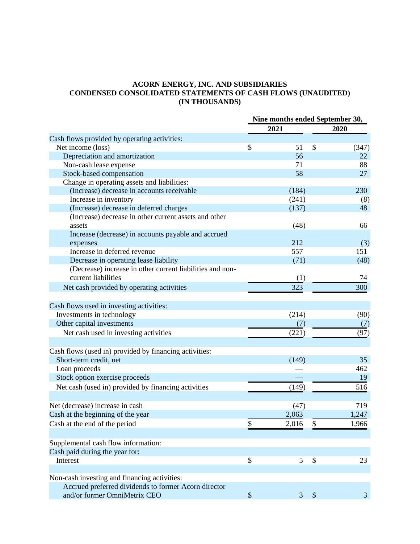### **ACORN ENERGY, INC. AND SUBSIDIARIES CONDENSED CONSOLIDATED STATEMENTS OF CASH FLOWS (UNAUDITED) (IN THOUSANDS)**

|                                                           | Nine months ended September 30, |       |                           |       |
|-----------------------------------------------------------|---------------------------------|-------|---------------------------|-------|
|                                                           |                                 | 2021  |                           | 2020  |
| Cash flows provided by operating activities:              |                                 |       |                           |       |
| Net income (loss)                                         | \$                              | 51    | \$                        | (347) |
| Depreciation and amortization                             |                                 | 56    |                           | 22    |
| Non-cash lease expense                                    |                                 | 71    |                           | 88    |
| Stock-based compensation                                  |                                 | 58    |                           | 27    |
| Change in operating assets and liabilities:               |                                 |       |                           |       |
| (Increase) decrease in accounts receivable                |                                 | (184) |                           | 230   |
| Increase in inventory                                     |                                 | (241) |                           | (8)   |
| (Increase) decrease in deferred charges                   |                                 | (137) |                           | 48    |
| (Increase) decrease in other current assets and other     |                                 |       |                           |       |
| assets                                                    |                                 | (48)  |                           | 66    |
| Increase (decrease) in accounts payable and accrued       |                                 |       |                           |       |
| expenses                                                  |                                 | 212   |                           | (3)   |
| Increase in deferred revenue                              |                                 | 557   |                           | 151   |
| Decrease in operating lease liability                     |                                 | (71)  |                           | (48)  |
| (Decrease) increase in other current liabilities and non- |                                 |       |                           |       |
| current liabilities                                       |                                 | (1)   |                           | 74    |
| Net cash provided by operating activities                 |                                 | 323   |                           | 300   |
|                                                           |                                 |       |                           |       |
| Cash flows used in investing activities:                  |                                 |       |                           |       |
| Investments in technology                                 |                                 | (214) |                           | (90)  |
| Other capital investments                                 |                                 | (7)   |                           | (7)   |
| Net cash used in investing activities                     |                                 | (221) |                           | (97)  |
| Cash flows (used in) provided by financing activities:    |                                 |       |                           |       |
| Short-term credit, net                                    |                                 | (149) |                           | 35    |
| Loan proceeds                                             |                                 |       |                           | 462   |
| Stock option exercise proceeds                            |                                 |       |                           | 19    |
| Net cash (used in) provided by financing activities       |                                 | (149) |                           | 516   |
|                                                           |                                 |       |                           |       |
| Net (decrease) increase in cash                           |                                 | (47)  |                           | 719   |
| Cash at the beginning of the year                         |                                 | 2,063 |                           | 1,247 |
| Cash at the end of the period                             | ¢<br>Φ                          | 2,016 |                           | 1,966 |
|                                                           |                                 |       |                           |       |
| Supplemental cash flow information:                       |                                 |       |                           |       |
| Cash paid during the year for:                            |                                 |       |                           |       |
| Interest                                                  | \$                              | 5     | $\boldsymbol{\mathsf{S}}$ | 23    |
| Non-cash investing and financing activities:              |                                 |       |                           |       |
| Accrued preferred dividends to former Acorn director      |                                 |       |                           |       |
| and/or former OmniMetrix CEO                              | $\boldsymbol{\mathsf{S}}$       | 3     | $\boldsymbol{\mathsf{S}}$ | 3     |